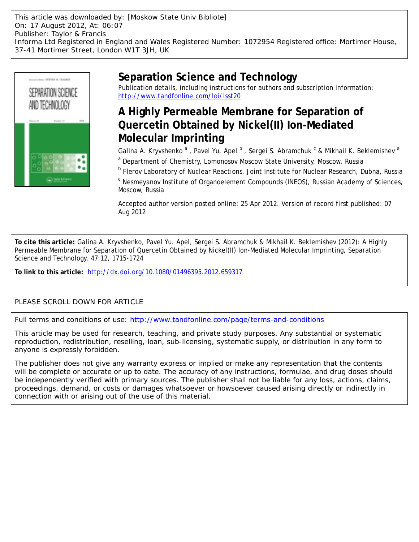This article was downloaded by: [Moskow State Univ Bibliote] On: 17 August 2012, At: 06:07 Publisher: Taylor & Francis Informa Ltd Registered in England and Wales Registered Number: 1072954 Registered office: Mortimer House, 37-41 Mortimer Street, London W1T 3JH, UK



# **Separation Science and Technology**

Publication details, including instructions for authors and subscription information: <http://www.tandfonline.com/loi/lsst20>

# **A Highly Permeable Membrane for Separation of Quercetin Obtained by Nickel(II) Ion-Mediated Molecular Imprinting**

Galina A. Kryvshenko<sup>a</sup>, Pavel Yu. Apel <sup>b</sup>, Sergei S. Abramchuk <sup>c</sup> & Mikhail K. Beklemishev <sup>a</sup> <sup>a</sup> Department of Chemistry, Lomonosov Moscow State University, Moscow, Russia

<sup>b</sup> Flerov Laboratory of Nuclear Reactions, Joint Institute for Nuclear Research, Dubna, Russia <sup>c</sup> Nesmeyanov Institute of Organoelement Compounds (INEOS), Russian Academy of Sciences, Moscow, Russia

Accepted author version posted online: 25 Apr 2012. Version of record first published: 07 Aug 2012

**To cite this article:** Galina A. Kryvshenko, Pavel Yu. Apel, Sergei S. Abramchuk & Mikhail K. Beklemishev (2012): A Highly Permeable Membrane for Separation of Quercetin Obtained by Nickel(II) Ion-Mediated Molecular Imprinting, Separation Science and Technology, 47:12, 1715-1724

**To link to this article:** <http://dx.doi.org/10.1080/01496395.2012.659317>

### PLEASE SCROLL DOWN FOR ARTICLE

Full terms and conditions of use:<http://www.tandfonline.com/page/terms-and-conditions>

This article may be used for research, teaching, and private study purposes. Any substantial or systematic reproduction, redistribution, reselling, loan, sub-licensing, systematic supply, or distribution in any form to anyone is expressly forbidden.

The publisher does not give any warranty express or implied or make any representation that the contents will be complete or accurate or up to date. The accuracy of any instructions, formulae, and drug doses should be independently verified with primary sources. The publisher shall not be liable for any loss, actions, claims, proceedings, demand, or costs or damages whatsoever or howsoever caused arising directly or indirectly in connection with or arising out of the use of this material.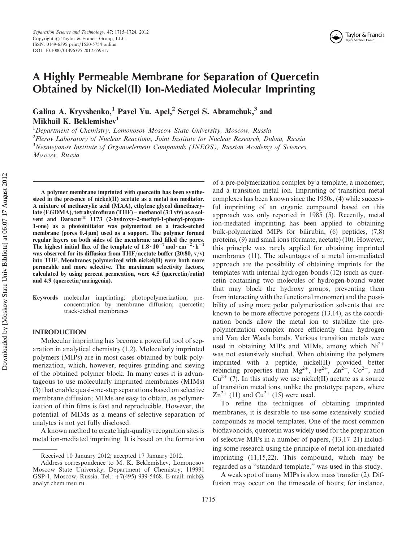

## A Highly Permeable Membrane for Separation of Quercetin Obtained by Nickel(II) Ion-Mediated Molecular Imprinting

Galina A. Kryvshenko,<sup>1</sup> Pavel Yu. Apel,<sup>2</sup> Sergei S. Abramchuk,<sup>3</sup> and Mikhail K. Beklemishev<sup>1</sup>

<sup>1</sup>Department of Chemistry, Lomonosov Moscow State University, Moscow, Russia <sup>2</sup> Flerov Laboratory of Nuclear Reactions, Joint Institute for Nuclear Research, Dubna, Russia <sup>3</sup>Nesmeyanov Institute of Organoelement Compounds (INEOS), Russian Academy of Sciences, Moscow, Russia

A polymer membrane imprinted with quercetin has been synthesized in the presence of nickel(II) acetate as a metal ion mediator. A mixture of methacrylic acid (MAA), ethylene glycol dimethacrylate (EGDMA), tetrahydrofuran (THF) – methanol (3:1 v/v) as a solvent and Darocur<sup>®</sup> 1173 (2-hydroxy-2-methyl-1-phenyl-propan-1-one) as a photoinitiator was polymerized on a track-etched membrane (pores  $0.4 \mu m$ ) used as a support. The polymer formed regular layers on both sides of the membrane and filled the pores. The highest initial flux of the template of  $1.8 \cdot 10^{-7}$  mol $\cdot$  cm<sup>-2</sup> $\cdot$ h<sup>-1</sup> was observed for its diffusion from THF/acetate buffer (20:80,  $v/v$ ) into THF. Membranes polymerized with nickel(II) were both more permeable and more selective. The maximum selectivity factors, calculated by using percent permeation, were  $4.5$  (quercetin/rutin) and  $4.9$  (quercetin/naringenin).

Keywords molecular imprinting; photopolymerization; preconcentration by membrane diffusion; quercetin; track-etched membranes

#### INTRODUCTION

Molecular imprinting has become a powerful tool of separation in analytical chemistry (1,2). Molecularly imprinted polymers (MIPs) are in most cases obtained by bulk polymerization, which, however, requires grinding and sieving of the obtained polymer block. In many cases it is advantageous to use molecularly imprinted membranes (MIMs) (3) that enable quasi-one-step separations based on selective membrane diffusion; MIMs are easy to obtain, as polymerization of thin films is fast and reproducible. However, the potential of MIMs as a means of selective separation of analytes is not yet fully disclosed.

A known method to create high-quality recognition sites is metal ion-mediated imprinting. It is based on the formation

of a pre-polymerization complex by a template, a monomer, and a transition metal ion. Imprinting of transition metal complexes has been known since the 1950s, (4) while successful imprinting of an organic compound based on this approach was only reported in 1985 (5). Recently, metal ion-mediated imprinting has been applied to obtaining bulk-polymerized MIPs for bilirubin, (6) peptides, (7,8) proteins, (9) and small ions (formate, acetate) (10). However, this principle was rarely applied for obtaining imprinted membranes (11). The advantages of a metal ion-mediated approach are the possibility of obtaining imprints for the templates with internal hydrogen bonds (12) (such as quercetin containing two molecules of hydrogen-bound water that may block the hydroxy groups, preventing them from interacting with the functional monomer) and the possibility of using more polar polymerization solvents that are known to be more effective porogens (13,14), as the coordination bonds allow the metal ion to stabilize the prepolymerization complex more efficiently than hydrogen and Van der Waals bonds. Various transition metals were used in obtaining MIPs and MIMs, among which  $Ni<sup>2+</sup>$ was not extensively studied. When obtaining the polymers imprinted with a peptide, nickel(II) provided better rebinding properties than  $Mg^{2+}$ , Fe<sup>2+</sup>, Zn<sup>2+</sup>, Co<sup>2+</sup>, and  $Cu^{2+}$  (7). In this study we use nickel(II) acetate as a source of transition metal ions, unlike the prototype papers, where  $\text{Zn}^{2+}$  (11) and  $\text{Cu}^{2+}$  (15) were used.

To refine the techniques of obtaining imprinted membranes, it is desirable to use some extensively studied compounds as model templates. One of the most common bioflavonoids, quercetin was widely used for the preparation of selective MIPs in a number of papers, (13,17–21) including some research using the principle of metal ion-mediated imprinting (11,15,22). This compound, which may be regarded as a ''standard template,'' was used in this study.

A weak spot of many MIPs is slow mass transfer (2). Diffusion may occur on the timescale of hours; for instance,

Received 10 January 2012; accepted 17 January 2012.

Address correspondence to M. K. Beklemishev, Lomonosov Moscow State University, Department of Chemistry, 119991 GSP-1, Moscow, Russia. Tel.:  $+7(495)$  939-5468. E-mail: mkb $@$ analyt.chem.msu.ru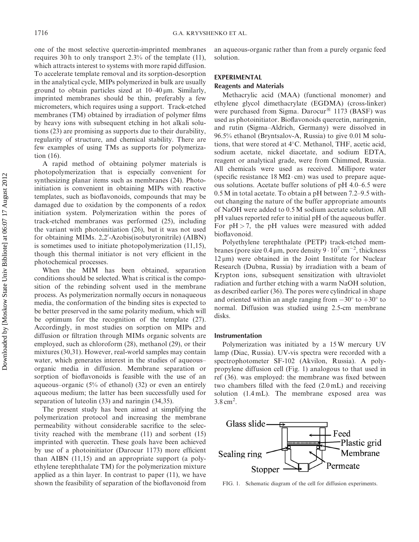one of the most selective quercetin-imprinted membranes requires 30 h to only transport 2.3% of the template (11), which attracts interest to systems with more rapid diffusion. To accelerate template removal and its sorption-desorption in the analytical cycle, MIPs polymerized in bulk are usually ground to obtain particles sized at  $10-40 \,\mu m$ . Similarly, imprinted membranes should be thin, preferably a few micrometers, which requires using a support. Track-etched membranes (TM) obtained by irradiation of polymer films by heavy ions with subsequent etching in hot alkali solutions (23) are promising as supports due to their durability, regularity of structure, and chemical stability. There are few examples of using TMs as supports for polymerization (16).

A rapid method of obtaining polymer materials is photopolymerization that is especially convenient for synthesizing planar items such as membranes (24). Photoinitiation is convenient in obtaining MIPs with reactive templates, such as bioflavonoids, compounds that may be damaged due to oxidation by the components of a redox initiation system. Polymerization within the pores of track-etched membranes was performed (25), including the variant with photoinitiation (26), but it was not used for obtaining MIMs. 2,2'-Azobis(isobutyronitrile) (AIBN) is sometimes used to initiate photopolymerization (11,15), though this thermal initiator is not very efficient in the photochemical processes.

When the MIM has been obtained, separation conditions should be selected. What is critical is the composition of the rebinding solvent used in the membrane process. As polymerization normally occurs in nonaqueous media, the conformation of the binding sites is expected to be better preserved in the same polarity medium, which will be optimum for the recognition of the template (27). Accordingly, in most studies on sorption on MIPs and diffusion or filtration through MIMs organic solvents are employed, such as chloroform (28), methanol (29), or their mixtures (30,31). However, real-world samples may contain water, which generates interest in the studies of aqueous– organic media in diffusion. Membrane separation or sorption of bioflavonoids is feasible with the use of an aqueous–organic (5% of ethanol) (32) or even an entirely aqueous medium; the latter has been successfully used for separation of luteolin (33) and naringin (34,35).

The present study has been aimed at simplifying the polymerization protocol and increasing the membrane permeability without considerable sacrifice to the selectivity reached with the membrane (11) and sorbent (15) imprinted with quercetin. These goals have been achieved by use of a photoinitiator (Darocur 1173) more efficient than AIBN (11,15) and an appropriate support (a polyethylene terephthalate TM) for the polymerization mixture applied as a thin layer. In contrast to paper (11), we have shown the feasibility of separation of the bioflavonoid from an aqueous-organic rather than from a purely organic feed solution.

#### EXPERIMENTAL

#### Reagents and Materials

Methacrylic acid (MAA) (functional monomer) and ethylene glycol dimethacrylate (EGDMA) (cross-linker) were purchased from Sigma. Darocur<sup>®</sup> 1173 (BASF) was used as photoinitiator. Bioflavonoids quercetin, naringenin, and rutin (Sigma–Aldrich, Germany) were dissolved in 96.5% ethanol (Bryntsalov-A, Russia) to give 0.01 M solutions, that were stored at 4°C. Methanol, THF, acetic acid, sodium acetate, nickel diacetate, and sodium EDTA, reagent or analytical grade, were from Chimmed, Russia. All chemicals were used as received. Millipore water (specific resistance  $18 \text{ M}\Omega \cdot \text{cm}$ ) was used to prepare aqueous solutions. Acetate buffer solutions of pH 4.0–6.5 were 0.5 M in total acetate. To obtain a pH between 7.2–9.5 without changing the nature of the buffer appropriate amounts of NaOH were added to 0.5 M sodium acetate solution. All pH values reported refer to initial pH of the aqueous buffer. For  $pH > 7$ , the  $pH$  values were measured with added bioflavonoid.

Polyethylene terephthalate (PETP) track-etched membranes (pore size  $0.4 \mu m$ , pore density  $9 \cdot 10^7 \text{ cm}^{-2}$ , thickness  $12 \mu m$ ) were obtained in the Joint Institute for Nuclear Research (Dubna, Russia) by irradiation with a beam of Krypton ions, subsequent sensitization with ultraviolet radiation and further etching with a warm NaOH solution, as described earlier (36). The pores were cylindrical in shape and oriented within an angle ranging from  $-30^{\circ}$  to  $+30^{\circ}$  to normal. Diffusion was studied using 2.5-cm membrane disks.

#### Instrumentation

Polymerization was initiated by a 15 W mercury UV lamp (Diac, Russia). UV-vis spectra were recorded with a spectrophotometer SF-102 (Akvilon, Russia). A polypropylene diffusion cell (Fig. 1) analogous to that used in ref (36). was employed: the membrane was fixed between two chambers filled with the feed (2.0 mL) and receiving solution (1.4 mL). The membrane exposed area was  $3.8 \text{ cm}^2$ .



FIG. 1. Schematic diagram of the cell for diffusion experiments.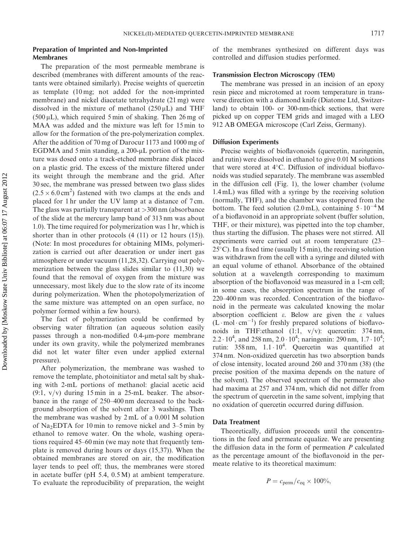#### Preparation of Imprinted and Non-Imprinted Membranes

The preparation of the most permeable membrane is described (membranes with different amounts of the reactants were obtained similarly). Precise weights of quercetin as template (10 mg; not added for the non-imprinted membrane) and nickel diacetate tetrahydrate (21 mg) were dissolved in the mixture of methanol  $(250 \,\mu L)$  and THF  $(500 \,\mu L)$ , which required 5 min of shaking. Then 26 mg of MAA was added and the mixture was left for 15 min to allow for the formation of the pre-polymerization complex. After the addition of 70 mg of Darocur 1173 and 1000 mg of EGDMA and 5 min standing, a 200-µL portion of the mixture was dosed onto a track-etched membrane disk placed on a plastic grid. The excess of the mixture filtered under its weight through the membrane and the grid. After 30 sec, the membrane was pressed between two glass slides  $(2.5 \times 6.0 \text{ cm}^2)$  fastened with two clamps at the ends and placed for 1 hr under the UV lamp at a distance of 7 cm. The glass was partially transparent at  $>$ 300 nm (absorbance) of the slide at the mercury lamp band of 313 nm was about 1.0). The time required for polymerization was 1 hr, which is shorter than in other protocols  $(4 (11)$  or 12 hours  $(15)$ ). (Note: In most procedures for obtaining MIMs, polymerization is carried out after deaeration or under inert gas atmosphere or under vacuum (11,28,32). Carrying out polymerization between the glass slides similar to (11,30) we found that the removal of oxygen from the mixture was unnecessary, most likely due to the slow rate of its income during polymerization. When the photopolymerization of the same mixture was attempted on an open surface, no polymer formed within a few hours).

The fact of polymerization could be confirmed by observing water filtration (an aqueous solution easily passes through a non-modified 0.4-um-pore membrane under its own gravity, while the polymerized membranes did not let water filter even under applied external pressure).

After polymerization, the membrane was washed to remove the template, photoinitiator and metal salt by shaking with 2-mL portions of methanol: glacial acetic acid (9:1,  $v/v$ ) during 15 min in a 25-mL beaker. The absorbance in the range of 250–400 nm decreased to the background absorption of the solvent after 3 washings. Then the membrane was washed by 2 mL of a 0.001 M solution of Na<sub>2</sub>EDTA for 10 min to remove nickel and  $3-5$  min by ethanol to remove water. On the whole, washing operations required 45–60 min (we may note that frequently template is removed during hours or days (15,37)). When the obtained membranes are stored on air, the modification layer tends to peel off; thus, the membranes were stored in acetate buffer (pH 5.4, 0.5 M) at ambient temperature. To evaluate the reproducibility of preparation, the weight of the membranes synthesized on different days was controlled and diffusion studies performed.

#### Transmission Electron Microscopy (TEM)

The membrane was pressed in an incision of an epoxy resin piece and microtomed at room temperature in transverse direction with a diamond knife (Diatome Ltd, Switzerland) to obtain 100- or 300-nm-thick sections, that were picked up on copper TEM grids and imaged with a LEO 912 AB OMEGA microscope (Carl Zeiss, Germany).

#### Diffusion Experiments

Precise weights of bioflavonoids (quercetin, naringenin, and rutin) were dissolved in ethanol to give 0.01 M solutions that were stored at 4°C. Diffusion of individual bioflavonoids was studied separately. The membrane was assembled in the diffusion cell (Fig. 1), the lower chamber (volume 1.4 mL) was filled with a syringe by the receiving solution (normally, THF), and the chamber was stoppered from the bottom. The feed solution (2.0 mL), containing  $5 \cdot 10^{-4}$  M of a bioflavonoid in an appropriate solvent (buffer solution, THF, or their mixture), was pipetted into the top chamber, thus starting the diffusion. The phases were not stirred. All experiments were carried out at room temperature (23– 25°C). In a fixed time (usually 15 min), the receiving solution was withdrawn from the cell with a syringe and diluted with an equal volume of ethanol. Absorbance of the obtained solution at a wavelength corresponding to maximum absorption of the bioflavonoid was measured in a 1-cm cell; in some cases, the absorption spectrum in the range of 220–400 nm was recorded. Concentration of the bioflavonoid in the permeate was calculated knowing the molar absorption coefficient  $\varepsilon$ . Below are given the  $\varepsilon$  values  $(L \cdot mol \cdot cm^{-1})$  for freshly prepared solutions of bioflavonoids in THF: ethanol (1:1,  $v/v$ ): quercetin: 374 nm,  $2.2 \cdot 10^4$ , and  $258$  nm,  $2.0 \cdot 10^4$ ; naringenin: 290 nm,  $1.7 \cdot 10^4$ ; rutin:  $358 \text{ nm}$ ,  $1.1 \cdot 10^4$ . Quercetin was quantified at 374 nm. Non-oxidized quercetin has two absorption bands of close intensity, located around 260 and 370 nm (38) (the precise position of the maxima depends on the nature of the solvent). The observed spectrum of the permeate also had maxima at 257 and 374 nm, which did not differ from the spectrum of quercetin in the same solvent, implying that no oxidation of quercetin occurred during diffusion.

#### Data Treatment

Theoretically, diffusion proceeds until the concentrations in the feed and permeate equalize. We are presenting the diffusion data in the form of permeation  $P$  calculated as the percentage amount of the bioflavonoid in the permeate relative to its theoretical maximum:

$$
P = c_{\text{perm}}/c_{\text{eq}} \times 100\%,
$$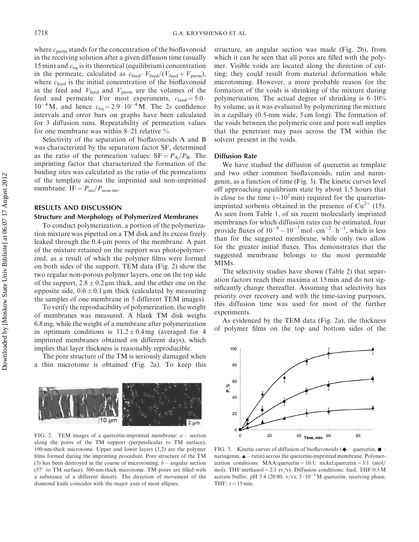where  $c_{\text{perm}}$  stands for the concentration of the bioflavonoid in the receiving solution after a given diffusion time (usually 15 min) and  $c_{eq}$  is its theoretical (equilibrium) concentration in the permeate, calculated as  $c_{\text{feed}} \cdot V_{\text{feed}}/(V_{\text{feed}} + V_{\text{perm}})$ , where  $c_{\text{feed}}$  is the initial concentration of the bioflavonoid in the feed and  $V_{\text{feed}}$  and  $V_{\text{perm}}$  are the volumes of the feed and permeate. For most experiments,  $c_{\text{feed}} = 5.0$ .  $10^{-4}$  M, and hence  $c_{eq} = 2.9 \cdot 10^{-4}$  M. The 2s confidence intervals and error bars on graphs have been calculated for 3 diffusion runs. Repeatability of permeation values for one membrane was within 8–21 relative %.

Selectivity of the separation of bioflavonoids A and B was characterized by the separation factor SF, determined as the ratio of the permeation values:  $SF = P_A/P_B$ . The imprinting factor that characterized the formation of the binding sites was calculated as the ratio of the permeations of the template across the imprinted and non-imprinted membrane: IF =  $P_{\text{im}}/P_{\text{non-im}}$ .

#### RESULTS AND DISCUSSION

#### Structure and Morphology of Polymerized Membranes

To conduct polymerization, a portion of the polymerization mixture was pipetted on a TM disk and its excess freely leaked through the 0.4-µm pores of the membrane. A part of the mixture retained on the support was photopolymerized, as a result of which the polymer films were formed on both sides of the support. TEM data (Fig. 2) show the two regular non-porous polymer layers, one on the top side of the support,  $2.8 \pm 0.2$  µm thick, and the other one on the opposite side,  $0.6 \pm 0.1$  µm thick (calculated by measuring the samples of one membrane in 5 different TEM images).

To verify the reproducibility of polymerization, the weight of membranes was measured. A blank TM disk weighs 6.8 mg, while the weight of a membrane after polymerization in optimum conditions is  $11.2 \pm 0.4$  mg (averaged for 4 imprinted membranes obtained on different days), which implies that layer thickness is reasonably reproducible.

The pore structure of the TM is seriously damaged when a thin microtome is obtained (Fig. 2a). To keep this



FIG. 2. TEM images of a quercetin-imprinted membrane:  $a$  – section along the pores of the TM support (perpendicular to TM surface), 100-nm-thick microtome. Upper and lower layers (1,2) are the polymer films formed during the imprinting procedure. Pore structure of the TM (3) has been destroyed in the course of microtoming;  $b$  – angular section (37° to TM surface), 300-nm-thick microtome. TM pores are filled with a substance of a different density. The direction of movement of the diamond knife coincides with the major axes of most ellipses.

structure, an angular section was made (Fig. 2b), from which it can be seen that all pores are filled with the polymer. Visible voids are located along the direction of cutting; they could result from material deformation while microtoming. However, a more probable reason for the formation of the voids is shrinking of the mixture during polymerization. The actual degree of shrinking is  $6-10\%$ by volume, as it was evaluated by polymerizing the mixture in a capillary (0.5-mm wide, 5 cm long). The formation of the voids between the polymeric core and pore wall implies that the penetrant may pass across the TM within the solvent present in the voids.

#### Diffusion Rate

We have studied the diffusion of quercetin as template and two other common bioflavonoids, rutin and naringenin, as a function of time (Fig. 3). The kinetic curves level off approaching equilibrium state by about 1.5 hours that is close to the time ( $\sim 10^2$  min) required for the quercetinimprinted sorbents obtained in the presence of  $Cu^{2+}$  (15). As seen from Table 1, of six recent molecularly imprinted membranes for which diffusion rates can be estimated, four provide fluxes of  $10^{-8} - 10^{-7}$  mol $\cdot$  cm<sup>-2</sup> $\cdot$  h<sup>-1</sup>, which is less than for the suggested membrane, while only two allow for the greater initial fluxes. This demonstrates that the suggested membrane belongs to the most permeable MIMs.

The selectivity studies have shown (Table 2) that separation factors reach their maxima at 15 min and do not significantly change thereafter. Assuming that selectivity has priority over recovery and with the time-saving purposes, this diffusion time was used for most of the further experiments.

As evidenced by the TEM data (Fig. 2a), the thickness of polymer films on the top and bottom sides of the



FIG. 3. Kinetic curves of diffusion of bioflavonoids ( $\blacklozenge$  – quercetin,  $\blacksquare$  – naringenin,  $\triangle$  – rutin) across the quercetin-imprinted membrane. Polymerization conditions:  $MAA:quercetin = 10:1$ ; nickel:quercetin = 3:1 (mol/ mol), THF:methanol = 2:1 (v/v). Diffusion conditions: feed, THF:0.5M acetate buffer, pH 5.4 (20:80, v/v),  $5 \cdot 10^{-4}$  M quercetin; receiving phase, THF:  $t = 15$  min.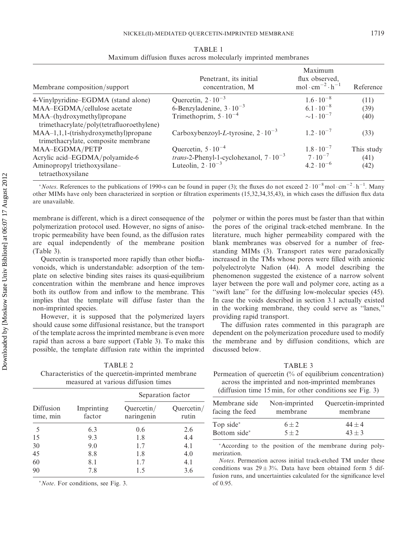| Membrane composition/support                                                  | Penetrant, its initial<br>concentration, M               | Maximum<br>flux observed.<br>$mol \cdot cm^{-2} \cdot h^{-1}$ | Reference  |
|-------------------------------------------------------------------------------|----------------------------------------------------------|---------------------------------------------------------------|------------|
| 4-Vinylpyridine-EGDMA (stand alone)                                           | Quercetin, $2 \cdot 10^{-3}$                             | $1.6 \cdot 10^{-8}$                                           | (11)       |
| MAA-EGDMA/cellulose acetate                                                   | 6-Benzyladenine, $3 \cdot 10^{-3}$                       | $6.1 \cdot 10^{-8}$                                           | (39)       |
| MAA-(hydroxymethyl)propane<br>trimethacrylate/poly(tetrafluoroethylene)       | Trimethoprim, $5 \cdot 10^{-4}$                          | $\sim$ 1 · 10 <sup>-7</sup>                                   | (40)       |
| $MAA-1,1,1-(trishydroxymethyl)propane$<br>trimethacrylate, composite membrane | Carboxybenzoyl-L-tyrosine, $2 \cdot 10^{-3}$             | $1.2 \cdot 10^{-7}$                                           | (33)       |
| MAA-EGDMA/PETP                                                                | Quercetin, $5 \cdot 10^{-4}$                             | $1.8 \cdot 10^{-7}$                                           | This study |
| Acrylic acid-EGDMA/polyamide-6                                                | <i>trans</i> -2-Phenyl-1-cyclohexanol, $7 \cdot 10^{-3}$ | $7 \cdot 10^{-7}$                                             | (41)       |
| Aminopropyl triethoxysilane-<br>tetraethoxysilane                             | Luteolin, $2 \cdot 10^{-3}$                              | $4.2 \cdot 10^{-6}$                                           | (42)       |

TABLE 1 Maximum diffusion fluxes across molecularly imprinted membranes

\**Notes*. References to the publications of 1990-s can be found in paper (3); the fluxes do not exceed  $2 \cdot 10^{-8}$  mol $\cdot$ cm<sup>-2</sup> $\cdot$ h<sup>-1</sup>. Many other MIMs have only been characterized in sorption or filtration experiments (15,32,34,35,43), in which cases the diffusion flux data are unavailable.

membrane is different, which is a direct consequence of the polymerization protocol used. However, no signs of anisotropic permeability have been found, as the diffusion rates are equal independently of the membrane position (Table 3).

Quercetin is transported more rapidly than other bioflavonoids, which is understandable: adsorption of the template on selective binding sites raises its quasi-equilibrium concentration within the membrane and hence improves both its outflow from and inflow to the membrane. This implies that the template will diffuse faster than the non-imprinted species.

However, it is supposed that the polymerized layers should cause some diffusional resistance, but the transport of the template across the imprinted membrane is even more rapid than across a bare support (Table 3). To make this possible, the template diffusion rate within the imprinted

TABLE 2 Characteristics of the quercetin-imprinted membrane measured at various diffusion times

|                        |                      | Separation factor        |                     |  |  |
|------------------------|----------------------|--------------------------|---------------------|--|--|
| Diffusion<br>time, min | Imprinting<br>factor | Quercetin/<br>naringenin | Quercetin/<br>rutin |  |  |
| 5                      | 6.3                  | 0.6                      | 2.6                 |  |  |
| 15                     | 9.3                  | 1.8                      | 4.4                 |  |  |
| 30                     | 9.0                  | 1.7                      | 4.1                 |  |  |
| 45                     | 8.8                  | 1.8                      | 4.0                 |  |  |
| 60                     | 8.1                  | 1.7                      | 4.1                 |  |  |
| 90                     | 7.8                  | 1.5                      | 3.6                 |  |  |

\**Note*. For conditions, see Fig. 3.

polymer or within the pores must be faster than that within the pores of the original track-etched membrane. In the literature, much higher permeability compared with the blank membranes was observed for a number of freestanding MIMs (3). Transport rates were paradoxically increased in the TMs whose pores were filled with anionic polyelectrolyte Nafion (44). A model describing the phenomenon suggested the existence of a narrow solvent layer between the pore wall and polymer core, acting as a "swift lane" for the diffusing low-molecular species (45). In case the voids described in section 3.1 actually existed in the working membrane, they could serve as ''lanes,'' providing rapid transport.

The diffusion rates commented in this paragraph are dependent on the polymerization procedure used to modify the membrane and by diffusion conditions, which are discussed below.

TABLE 3 Permeation of quercetin (% of equilibrium concentration) across the imprinted and non-imprinted membranes (diffusion time 15 min, for other conditions see Fig. 3)

| Membrane side   | Non-imprinted | Quercetin-imprinted |
|-----------------|---------------|---------------------|
| facing the feed | membrane      | membrane            |
| Top side*       | $6 + 2$       | $44 + 4$            |
| Bottom side*    | $5 + 2$       | $43 + 3$            |

According to the position of the membrane during polymerization.

Notes. Permeation across initial track-etched TM under these conditions was  $29 + 3\%$ . Data have been obtained form 5 diffusion runs, and uncertainties calculated for the significance level of 0.95.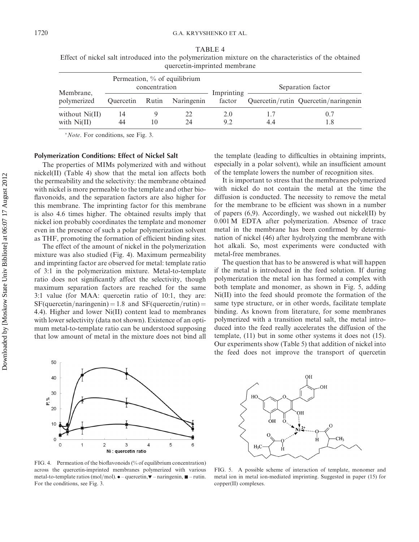| s were event implimes monitorwise |                  |       |                              |            |                   |                                      |
|-----------------------------------|------------------|-------|------------------------------|------------|-------------------|--------------------------------------|
|                                   |                  |       | Permeation, % of equilibrium |            |                   |                                      |
| Membrane,                         | concentration    |       |                              | Imprinting | Separation factor |                                      |
| polymerized                       | <b>Ouercetin</b> | Rutin | Naringenin                   | factor     |                   | Quercetin/rutin Quercetin/naringenin |
| without $Ni(II)$<br>with $Ni(II)$ | 14<br>44         | 10    | 22<br>24                     | 2.0<br>9.2 | 4.4               | 0.7                                  |

TABLE 4 Effect of nickel salt introduced into the polymerization mixture on the characteristics of the obtained quercetin-imprinted membrane

\*Note. For conditions, see Fig. 3.

### Polymerization Conditions: Effect of Nickel Salt

The properties of MIMs polymerized with and without nickel(II) (Table 4) show that the metal ion affects both the permeability and the selectivity: the membrane obtained with nickel is more permeable to the template and other bioflavonoids, and the separation factors are also higher for this membrane. The imprinting factor for this membrane is also 4.6 times higher. The obtained results imply that nickel ion probably coordinates the template and monomer even in the presence of such a polar polymerization solvent as THF, promoting the formation of efficient binding sites.

The effect of the amount of nickel in the polymerization mixture was also studied (Fig. 4). Maximum permeability and imprinting factor are observed for metal: template ratio of 3:1 in the polymerization mixture. Metal-to-template ratio does not significantly affect the selectivity, though maximum separation factors are reached for the same 3:1 value (for MAA: quercetin ratio of 10:1, they are:  $SF(quercetin/naringenin) = 1.8$  and  $SF(quercetin/rutin) =$ 4.4). Higher and lower Ni(II) content lead to membranes with lower selectivity (data not shown). Existence of an optimum metal-to-template ratio can be understood supposing that low amount of metal in the mixture does not bind all

the template (leading to difficulties in obtaining imprints, especially in a polar solvent), while an insufficient amount of the template lowers the number of recognition sites.

It is important to stress that the membranes polymerized with nickel do not contain the metal at the time the diffusion is conducted. The necessity to remove the metal for the membrane to be efficient was shown in a number of papers (6,9). Accordingly, we washed out nickel(II) by 0.001 M EDTA after polymerization. Absence of trace metal in the membrane has been confirmed by determination of nickel (46) after hydrolyzing the membrane with hot alkali. So, most experiments were conducted with metal-free membranes.

The question that has to be answered is what will happen if the metal is introduced in the feed solution. If during polymerization the metal ion has formed a complex with both template and monomer, as shown in Fig. 5, adding Ni(II) into the feed should promote the formation of the same type structure, or in other words, facilitate template binding. As known from literature, for some membranes polymerized with a transition metal salt, the metal introduced into the feed really accelerates the diffusion of the template, (11) but in some other systems it does not (15). Our experiments show (Table 5) that addition of nickel into the feed does not improve the transport of quercetin





FIG. 4. Permeation of the bioflavonoids (% of equilibrium concentration) across the quercetin-imprinted membranes polymerized with various metal-to-template ratios (mol/mol).  $\bullet$  – quercetin,  $\nabla$  – naringenin,  $\blacksquare$  – rutin. For the conditions, see Fig. 3.

FIG. 5. A possible scheme of interaction of template, monomer and metal ion in metal ion-mediated imprinting. Suggested in paper (15) for copper(II) complexes.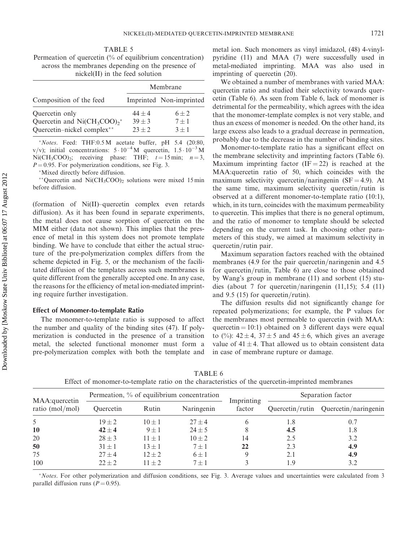TABLE 5 Permeation of quercetin (% of equilibrium concentration) across the membranes depending on the presence of nickel(II) in the feed solution

|                                 | Membrane |                         |  |  |
|---------------------------------|----------|-------------------------|--|--|
| Composition of the feed         |          | Imprinted Non-imprinted |  |  |
| Quercetin only                  | $44 + 4$ | $6 + 2$                 |  |  |
| Quercetin and $Ni(CH_3COO)_2^*$ | $39 + 3$ | $7 + 1$                 |  |  |
| Quercetin-nickel complex**      | $23 + 2$ | $3 + 1$                 |  |  |

\*Notes. Feed: THF:0.5 M acetate buffer, pH 5.4 (20:80, v/v); initial concentrations:  $5 \cdot 10^{-4}$  M quercetin,  $1.5 \cdot 10^{-3}$  M Ni(CH<sub>3</sub>COO)<sub>2</sub>; receiving phase: THF;  $t = 15$  min;  $n = 3$ ,  $P = 0.95$ . For polymerization conditions, see Fig. 3.

Mixed directly before diffusion.

\*\*Quercetin and  $Ni(CH_3COO)_2$  solutions were mixed 15 min before diffusion.

(formation of Ni(II)–quercetin complex even retards diffusion). As it has been found in separate experiments, the metal does not cause sorption of quercetin on the MIM either (data not shown). This implies that the presence of metal in this system does not promote template binding. We have to conclude that either the actual structure of the pre-polymerization complex differs from the scheme depicted in Fig. 5, or the mechanism of the facilitated diffusion of the templates across such membranes is quite different from the generally accepted one. In any case, the reasons for the efficiency of metal ion-mediated imprinting require further investigation.

#### Effect of Monomer-to-template Ratio

The monomer-to-template ratio is supposed to affect the number and quality of the binding sites (47). If polymerization is conducted in the presence of a transition metal, the selected functional monomer must form a pre-polymerization complex with both the template and metal ion. Such monomers as vinyl imidazol, (48) 4-vinylpyridine (11) and MAA (7) were successfully used in metal-mediated imprinting. MAA was also used in imprinting of quercetin (20).

We obtained a number of membranes with varied MAA: quercetin ratio and studied their selectivity towards quercetin (Table 6). As seen from Table 6, lack of monomer is detrimental for the permeability, which agrees with the idea that the monomer-template complex is not very stable, and thus an excess of monomer is needed. On the other hand, its large excess also leads to a gradual decrease in permeation, probably due to the decrease in the number of binding sites.

Monomer-to-template ratio has a significant effect on the membrane selectivity and imprinting factors (Table 6). Maximum imprinting factor (IF = 22) is reached at the MAA:quercetin ratio of 50, which coincides with the maximum selectivity quercetin/naringenin ( $SF = 4.9$ ). At the same time, maximum selectivity quercetin/rutin is observed at a different monomer-to-template ratio (10:1), which, in its turn, coincides with the maximum permeability to quercetin. This implies that there is no general optimum, and the ratio of monomer to template should be selected depending on the current task. In choosing other parameters of this study, we aimed at maximum selectivity in quercetin/rutin pair.

Maximum separation factors reached with the obtained membranes (4.9 for the pair quercetin/naringenin and  $4.5$ for quercetin/rutin, Table 6) are close to those obtained by Wang's group in membrane (11) and sorbent (15) studies (about 7 for quercetin/naringenin  $(11,15)$ ; 5.4  $(11)$ ) and 9.5 (15) for quercetin/rutin).

The diffusion results did not significantly change for repeated polymerizations; for example, the P values for the membranes most permeable to quercetin (with MAA: quercetin  $= 10:1$ ) obtained on 3 different days were equal to (%):  $42 \pm 4$ ,  $37 \pm 5$  and  $45 \pm 6$ , which gives an average value of  $41 \pm 4$ . That allowed us to obtain consistent data in case of membrane rupture or damage.

|                            | TABLE 6                                                                                         |                    |                   |
|----------------------------|-------------------------------------------------------------------------------------------------|--------------------|-------------------|
|                            | Effect of monomer-to-template ratio on the characteristics of the quercetin-imprinted membranes |                    |                   |
| $MA$ $\Lambda$ concreating | Permeation, % of equilibrium concentration                                                      | $Imminline \alpha$ | Separation factor |

| $MAA$ , quelectule<br>ratio (mol/mol) | <b>Ouercetin</b> | Rutin      | Naringenin | <b>IMPLINUILLE</b><br>factor |     | Quercetin/rutin Quercetin/naringenin |
|---------------------------------------|------------------|------------|------------|------------------------------|-----|--------------------------------------|
|                                       | $19 \pm 2$       | $10 \pm 1$ | $27 + 4$   |                              | 1.8 | 0.7                                  |
| 10                                    | $42 \pm 4$       | $9 \pm 1$  | $24 \pm 5$ |                              | 4.5 | 1.8                                  |
| 20                                    | $28 \pm 3$       | $11 \pm 1$ | $10 \pm 2$ | 14                           | 2.5 | 3.2                                  |
| 50                                    | $31 \pm 1$       | $13 \pm 1$ | $7 \pm 1$  | 22                           | 2.3 | 4.9                                  |
| 75                                    | $27 + 4$         | $12 \pm 2$ | $6 \pm 1$  |                              |     | 4.9                                  |
| 100                                   | $22 + 2$         | $11 + 2$   | $7 \pm 1$  |                              |     | 3.2                                  |

\*Notes. For other polymerization and diffusion conditions, see Fig. 3. Average values and uncertainties were calculated from 3 parallel diffusion runs ( $P = 0.95$ ).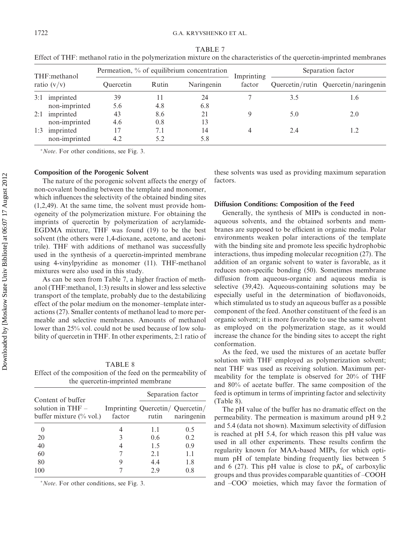| TABLE 7                                                                                                                 |
|-------------------------------------------------------------------------------------------------------------------------|
| Effect of THF: methanol ratio in the polymerization mixture on the characteristics of the quercetin-imprinted membranes |

| THF:methanol     |                  | Permeation, % of equilibrium concentration |            |        | Imprinting | Separation factor                    |     |  |
|------------------|------------------|--------------------------------------------|------------|--------|------------|--------------------------------------|-----|--|
| ratio $(v/v)$    | <b>Ouercetin</b> | Rutin                                      | Naringenin | factor |            | Quercetin/rutin Quercetin/naringenin |     |  |
| 3:1              | imprinted        | 39                                         |            | 24     |            | 3.5                                  | 1.6 |  |
|                  | non-imprinted    | 5.6                                        | 4.8        | 6.8    |            |                                      |     |  |
| 2:1              | imprinted        | 43                                         | 8.6        | 21     | Q          | 5.0                                  | 2.0 |  |
|                  | non-imprinted    | 4.6                                        | 0.8        | 13     |            |                                      |     |  |
| imprinted<br>1:3 |                  | 17                                         | 7.1        | 14     | 4          | 2.4                                  | 1.2 |  |
|                  | non-imprinted    | 4.2                                        | 5.2        | 5.8    |            |                                      |     |  |

Note. For other conditions, see Fig. 3.

#### Composition of the Porogenic Solvent

The nature of the porogenic solvent affects the energy of non-covalent bonding between the template and monomer, which influences the selectivity of the obtained binding sites (1,2,49). At the same time, the solvent must provide homogeneity of the polymerization mixture. For obtaining the imprints of quercetin by polymerization of acrylamide-EGDMA mixture, THF was found (19) to be the best solvent (the others were 1,4-dioxane, acetone, and acetonitrile). THF with additions of methanol was successfully used in the synthesis of a quercetin-imprinted membrane using 4-vinylpyridine as monomer (11). THF-methanol mixtures were also used in this study.

As can be seen from Table 7, a higher fraction of methanol (THF:methanol, 1:3) results in slower and less selective transport of the template, probably due to the destabilizing effect of the polar medium on the monomer–template interactions (27). Smaller contents of methanol lead to more permeable and selective membranes. Amounts of methanol lower than 25% vol. could not be used because of low solubility of quercetin in THF. In other experiments, 2:1 ratio of

TABLE 8 Effect of the composition of the feed on the permeability of the quercetin-imprinted membrane

| Content of buffer                                 |        | Separation factor |                                               |  |
|---------------------------------------------------|--------|-------------------|-----------------------------------------------|--|
| solution in $THF -$<br>buffer mixture $(\%$ vol.) | factor | rutin             | Imprinting Quercetin/Quercetin/<br>naringenin |  |
|                                                   |        | 1.1               | 0.5                                           |  |
| 20                                                | 3      | 0.6               | 0.2                                           |  |
| 40                                                |        | 1.5               | 0.9                                           |  |
| 60                                                |        | 2.1               | 1.1                                           |  |
| 80                                                |        | 4.4               | 1.8                                           |  |
| 100                                               |        | 29                | 0.8                                           |  |

\**Note*. For other conditions, see Fig. 3.

these solvents was used as providing maximum separation factors.

#### Diffusion Conditions: Composition of the Feed

Generally, the synthesis of MIPs is conducted in nonaqueous solvents, and the obtained sorbents and membranes are supposed to be efficient in organic media. Polar environments weaken polar interactions of the template with the binding site and promote less specific hydrophobic interactions, thus impeding molecular recognition (27). The addition of an organic solvent to water is favorable, as it reduces non-specific bonding (50). Sometimes membrane diffusion from aqueous-organic and aqueous media is selective (39,42). Aqueous-containing solutions may be especially useful in the determination of bioflavonoids, which stimulated us to study an aqueous buffer as a possible component of the feed. Another constituent of the feed is an organic solvent; it is more favorable to use the same solvent as employed on the polymerization stage, as it would increase the chance for the binding sites to accept the right conformation.

As the feed, we used the mixtures of an acetate buffer solution with THF employed as polymerization solvent; neat THF was used as receiving solution. Maximum permeability for the template is observed for 20% of THF and 80% of acetate buffer. The same composition of the feed is optimum in terms of imprinting factor and selectivity (Table 8).

The pH value of the buffer has no dramatic effect on the permeability. The permeation is maximum around pH 9.2 and 5.4 (data not shown). Maximum selectivity of diffusion is reached at pH 5.4, for which reason this pH value was used in all other experiments. These results confirm the regularity known for MAA-based MIPs, for which optimum pH of template binding frequently lies between 5 and 6 (27). This pH value is close to  $pK_a$  of carboxylic groups and thus provides comparable quantities of –COOH and –COO– moieties, which may favor the formation of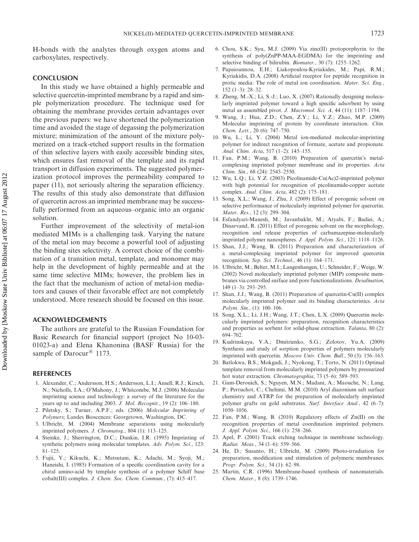H-bonds with the analytes through oxygen atoms and carboxylates, respectively.

#### **CONCLUSION**

In this study we have obtained a highly permeable and selective quercetin-imprinted membrane by a rapid and simple polymerization procedure. The technique used for obtaining the membrane provides certain advantages over the previous papers: we have shortened the polymerization time and avoided the stage of degassing the polymerization mixture; minimization of the amount of the mixture polymerized on a track-etched support results in the formation of thin selective layers with easily accessible binding sites, which ensures fast removal of the template and its rapid transport in diffusion experiments. The suggested polymerization protocol improves the permeability compared to paper (11), not seriously altering the separation efficiency. The results of this study also demonstrate that diffusion of quercetin across an imprinted membrane may be successfully performed from an aqueous–organic into an organic solution.

Further improvement of the selectivity of metal-ion mediated MIMs is a challenging task. Varying the nature of the metal ion may become a powerful tool of adjusting the binding sites selectivity. A correct choice of the combination of a transition metal, template, and monomer may help in the development of highly permeable and at the same time selective MIMs; however, the problem lies in the fact that the mechanism of action of metal-ion mediators and causes of their favorable effect are not completely understood. More research should be focused on this issue.

#### ACKNOWLEDGEMENTS

The authors are grateful to the Russian Foundation for Basic Research for financial support (project No 10-03- 01023-a) and Elena Khanonina (BASF Russia) for the sample of Darocur $^{\circledR}$  1173.

#### **REFERENCES**

- 1. Alexander, C.; Andersson, H.S.; Andersson, L.I.; Ansell, R.J.; Kirsch, N.; Nicholls, I.A.; O'Mahony, J.; Whitcombe, M.J. (2006) Molecular imprinting science and technology: a survey of the literature for the years up to and including 2003. J. Mol. Recognit., 19 (2): 106-180.
- 2. Piletsky, S.; Turner, A.P.F.; eds. (2006) Molecular Imprinting of Polymers; Landes Bioscences: Georgetown, Washington, DC.
- 3. Ulbricht, M. (2004) Membrane separations using molecularly imprinted polymers. J. Chromatog., 804 (1): 113–125.
- 4. Steinke, J.; Sherrington, D.C.; Dunkin, I.R. (1995) Imprinting of synthetic polymers using molecular templates. Adv. Polym. Sci., 123: 81–125.
- 5. Fujii, Y.; Kikuchi, K.; Matsutani, K.; Adachi, M.; Syoji, M.; Haneishi, I. (1985) Formation of a specific coordination cavity for a chiral amino-acid by template synthesis of a polymer Schiff base cobalt(III) complex. J. Chem. Soc. Chem. Commun., (7): 415–417.
- 6. Chou, S.K.; Syu, M.J. (2009) Via zinc(II) protoporphyrin to the synthesis of poly(ZnPP-MAA-EGDMA) for the imprinting and selective binding of bilirubin. Biomater., 30 (7): 1255–1262.
- 7. Papaioannou, E.H.; Liakopoulou-Kyriakides, M.; Papi, R.M.; Kyriakidis, D.A. (2008) Artificial receptor for peptide recognition in protic media: The role of metal ion coordination. Mater. Sci. Eng., 152 (1–3): 28–32.
- 8. Zheng, M.-X.; Li, S.-J.; Luo, X. (2007) Rationally designing molecularly imprinted polymer toward a high specific adsorbent by using metal as assembled pivot. J. Macromol. Sci. A, 44 (11): 1187–1194.
- 9. Wang, J.; Hua, Z.D.; Chen, Z.Y.; Li, Y.Z.; Zhao, M.P. (2009) Molecular imprinting of protein by coordinate interaction. Chin. Chem. Lett., 20 (6): 747–750.
- 10. Wu, L.; Li, Y. (2004) Metal ion-mediated molecular-imprinting polymer for indirect recognition of formate, acetate and propionate. Anal. Chim. Acta, 517 (1–2): 145–155.
- 11. Fan, P.M.; Wang, B. (2010) Preparation of quercetin's metalcomplexing imprinted polymer membrane and its properties. Acta Chim. Sin., 68 (24): 2543–2550.
- 12. Wu, L.Q.; Li, Y.Z. (2003) Picolinamide-Cu(Ac)2-imprinted polymer with high potential for recognition of picolinamide-copper acetate complex. Anal. Chim. Acta, 482 (2): 175–181.
- 13. Song, X.L.; Wang, J.; Zhu, J. (2009) Effect of porogenic solvent on selective performance of molecularly imprinted polymer for quercetin. Mater. Res., 12 (3): 299–304.
- 14. Esfandyari-Manesh, M.; Javanbakht, M.; Atyabi, F.; Badiei, A.; Dinarvand, R. (2011) Effect of porogenic solvent on the morphology, recognition and release properties of carbamazepine-molecularly imprinted polymer nanospheres. J. Appl. Polym. Sci., 121: 1118–1126.
- 15. Shan, J.J.; Wang, B. (2011) Preparation and characterization of a metal-complexing imprinted polymer for improved quercetin recognition. Sep. Sci. Technol., 46 (1): 164–171.
- 16. Ulbricht, M.; Belter, M.I.; Langenhangen, U.; Schneider, F.; Weige, W. (2002) Novel molecularly imprinted polymer (MIP) composite membranes via controlled surface and pore functionalizations. Desalination, 149 (1–3): 293–295.
- 17. Shan, J.J.; Wang, B. (2011) Preparation of quercetin-Cu(II) complex molecularly imprinted polymer and its binding characteristics. Acta Polym. Sin., (1): 100–106.
- 18. Song, X.L.; Li, J.H.; Wang, J.T.; Chen, L.X. (2009) Quercetin molecularly imprinted polymers: preparation, recognition characteristics and properties as sorbent for solid-phase extraction. Talanta, 80 (2): 694–702.
- 19. Kudrinskaya, V.A.; Dmitrienko, S.G.; Zolotov, Yu.A. (2009) Synthesis and study of sorption properties of polymers molecularly imprinted with quercetin. Moscow Univ. Chem. Bull., 50 (3): 156–163.
- 20. Batlokwa, B.S.; Mokgadi, J.; Nyokong, T.; Torto, N. (2011) Optimal template removal from molecularly imprinted polymers by pressurized hot water extraction. Chromatographia, 73 (5–6): 589–593.
- 21. Gam-Derouich, S.; Nguyen, M.N.; Madani, A.; Maouche, N.; Lang, P.; Perruchot, C.; Chehimi, M.M. (2010) Aryl diazonium salt surface chemistry and ATRP for the preparation of molecularly imprinted polymer grafts on gold substrates. Surf. Interface Anal., 42 (6-7): 1050–1056.
- 22. Fan, P.M.; Wang, B. (2010) Regulatory effects of Zn(II) on the recognition properties of metal coordination imprinted polymers. J. Appl. Polym. Sci., 166 (1): 258–266.
- 23. Apel, P. (2001) Track etching technique in membrane technology. Radiat. Meas., 34 (1–6): 559–566.
- 24. He, D.; Susanto, H.; Ulbricht, M. (2009) Photo-irradiation for preparation, modification and stimulation of polymeric membranes. Progr. Polym. Sci., 34 (1): 62–98.
- 25. Martin, C.R. (1996) Membrane-based synthesis of nanomaterials. Chem. Mater., 8 (8): 1739–1746.